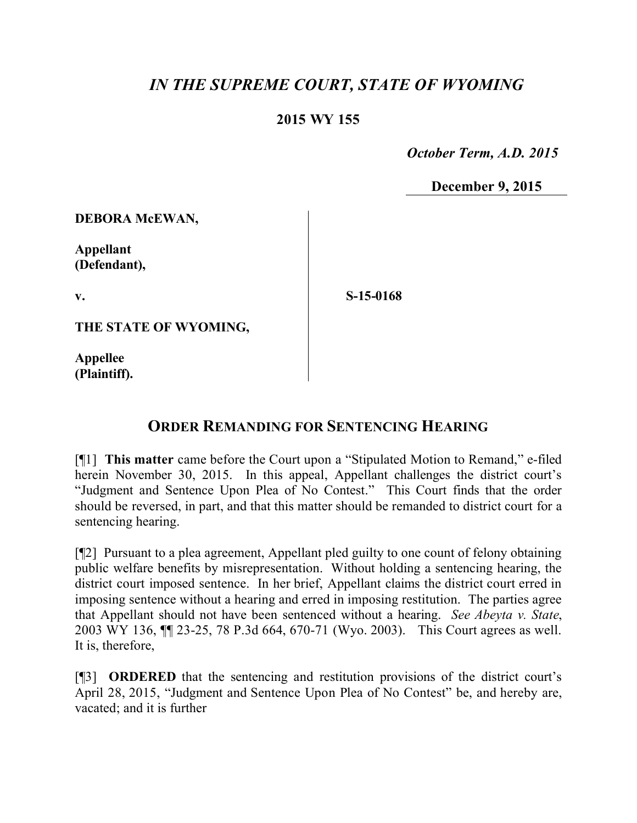## *IN THE SUPREME COURT, STATE OF WYOMING*

## **2015 WY 155**

 *October Term, A.D. 2015*

**December 9, 2015**

**DEBORA McEWAN,**

**Appellant (Defendant),**

**v.**

**S-15-0168**

**THE STATE OF WYOMING,**

**Appellee (Plaintiff).**

## **ORDER REMANDING FOR SENTENCING HEARING**

[¶1] **This matter** came before the Court upon a "Stipulated Motion to Remand," e-filed herein November 30, 2015. In this appeal, Appellant challenges the district court's "Judgment and Sentence Upon Plea of No Contest." This Court finds that the order should be reversed, in part, and that this matter should be remanded to district court for a sentencing hearing.

[¶2] Pursuant to a plea agreement, Appellant pled guilty to one count of felony obtaining public welfare benefits by misrepresentation. Without holding a sentencing hearing, the district court imposed sentence. In her brief, Appellant claims the district court erred in imposing sentence without a hearing and erred in imposing restitution. The parties agree that Appellant should not have been sentenced without a hearing. *See Abeyta v. State*, 2003 WY 136, ¶¶ 23-25, 78 P.3d 664, 670-71 (Wyo. 2003). This Court agrees as well. It is, therefore,

[¶3] **ORDERED** that the sentencing and restitution provisions of the district court's April 28, 2015, "Judgment and Sentence Upon Plea of No Contest" be, and hereby are, vacated; and it is further